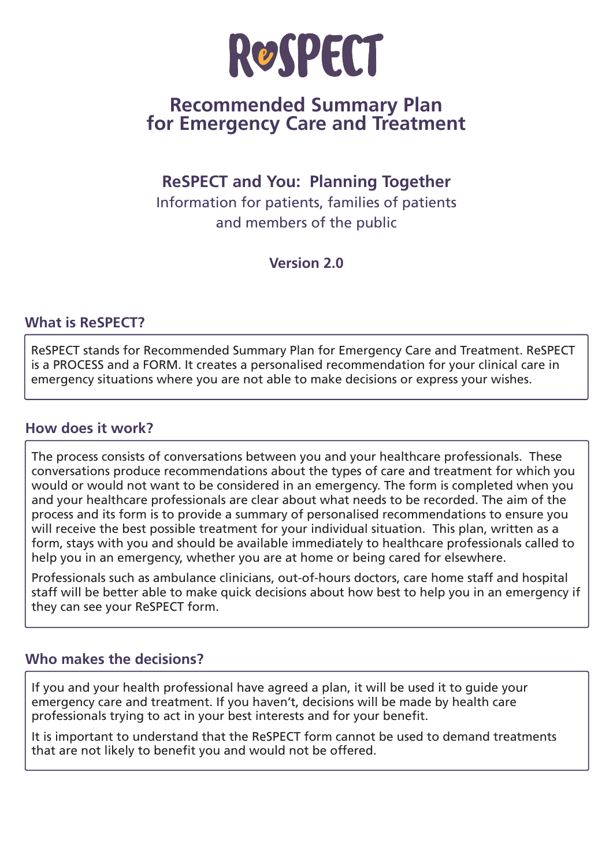

# **Recommended Summary Plan for Emergency Care and Treatment**

# **ReSPECT and You: Planning Together**

Information for patients, families of patients and members of the public

**Version 2.0**

# **What is ReSPECT?**

ReSPECT stands for Recommended Summary Plan for Emergency Care and Treatment. ReSPECT is a PROCESS and a FORM. It creates a personalised recommendation for your clinical care in emergency situations where you are not able to make decisions or express your wishes.

### **How does it work?**

The process consists of conversations between you and your healthcare professionals. These conversations produce recommendations about the types of care and treatment for which you would or would not want to be considered in an emergency. The form is completed when you and your healthcare professionals are clear about what needs to be recorded. The aim of the process and its form is to provide a summary of personalised recommendations to ensure you will receive the best possible treatment for your individual situation. This plan, written as a form, stays with you and should be available immediately to healthcare professionals called to help you in an emergency, whether you are at home or being cared for elsewhere.

Professionals such as ambulance clinicians, out-of-hours doctors, care home staff and hospital staff will be better able to make quick decisions about how best to help you in an emergency if they can see your ReSPECT form.

# **Who makes the decisions?**

If you and your health professional have agreed a plan, it will be used it to guide your emergency care and treatment. If you haven't, decisions will be made by health care professionals trying to act in your best interests and for your benefit.

It is important to understand that the ReSPECT form cannot be used to demand treatments that are not likely to benefit you and would not be offered.